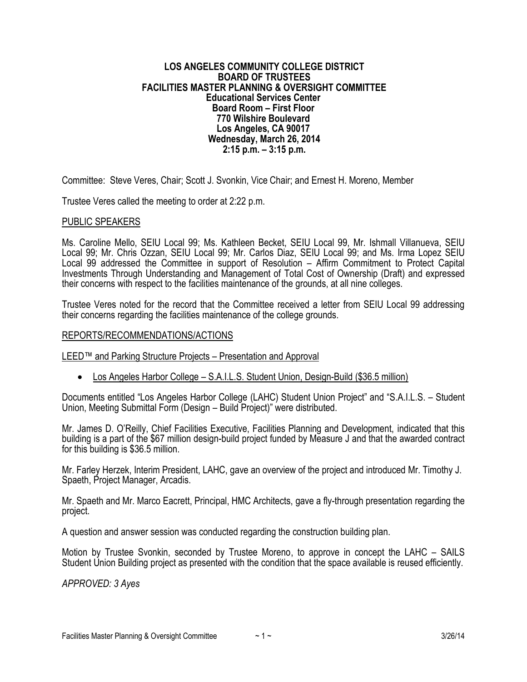### **LOS ANGELES COMMUNITY COLLEGE DISTRICT BOARD OF TRUSTEES FACILITIES MASTER PLANNING & OVERSIGHT COMMITTEE Educational Services Center Board Room – First Floor 770 Wilshire Boulevard Los Angeles, CA 90017 Wednesday, March 26, 2014 2:15 p.m. – 3:15 p.m.**

Committee: Steve Veres, Chair; Scott J. Svonkin, Vice Chair; and Ernest H. Moreno, Member

Trustee Veres called the meeting to order at 2:22 p.m.

### PUBLIC SPEAKERS

Ms. Caroline Mello, SEIU Local 99; Ms. Kathleen Becket, SEIU Local 99, Mr. Ishmall Villanueva, SEIU Local 99; Mr. Chris Ozzan, SEIU Local 99; Mr. Carlos Diaz, SEIU Local 99; and Ms. Irma Lopez SEIU Local 99 addressed the Committee in support of Resolution – Affirm Commitment to Protect Capital Investments Through Understanding and Management of Total Cost of Ownership (Draft) and expressed their concerns with respect to the facilities maintenance of the grounds, at all nine colleges.

Trustee Veres noted for the record that the Committee received a letter from SEIU Local 99 addressing their concerns regarding the facilities maintenance of the college grounds.

### REPORTS/RECOMMENDATIONS/ACTIONS

LEED™ and Parking Structure Projects – Presentation and Approval

• Los Angeles Harbor College – S.A.I.L.S. Student Union, Design-Build (\$36.5 million)

Documents entitled "Los Angeles Harbor College (LAHC) Student Union Project" and "S.A.I.L.S. – Student Union, Meeting Submittal Form (Design – Build Project)" were distributed.

Mr. James D. O'Reilly, Chief Facilities Executive, Facilities Planning and Development, indicated that this building is a part of the \$67 million design-build project funded by Measure J and that the awarded contract for this building is \$36.5 million.

Mr. Farley Herzek, Interim President, LAHC, gave an overview of the project and introduced Mr. Timothy J. Spaeth, Project Manager, Arcadis.

Mr. Spaeth and Mr. Marco Eacrett, Principal, HMC Architects, gave a fly-through presentation regarding the project.

A question and answer session was conducted regarding the construction building plan.

Motion by Trustee Svonkin, seconded by Trustee Moreno, to approve in concept the LAHC – SAILS Student Union Building project as presented with the condition that the space available is reused efficiently.

*APPROVED: 3 Ayes*